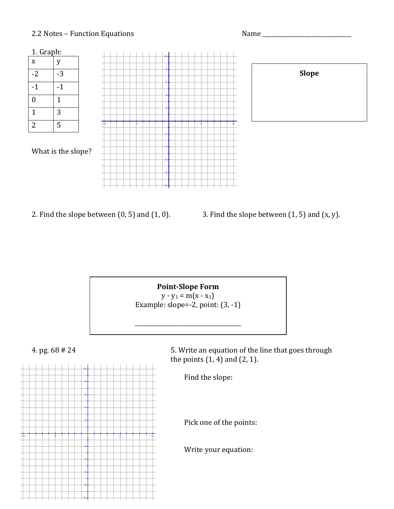## 2.2#Notes –#Function#Equations #Name#\_\_\_\_\_\_\_\_\_\_\_\_\_\_\_\_\_\_\_\_\_\_\_\_\_\_\_\_\_\_\_



- 
- 2. Find the slope between  $(0, 5)$  and  $(1, 0)$ .  $\qquad \qquad$  3. Find the slope between  $(1, 5)$  and  $(x, y)$ .

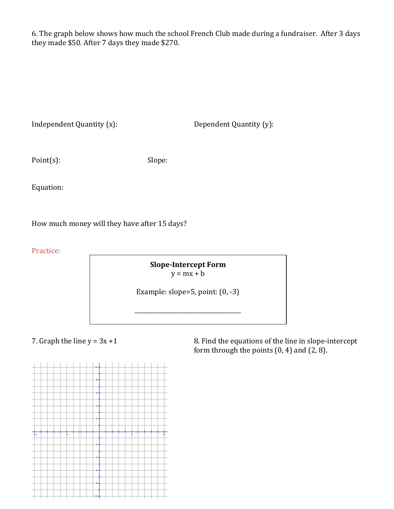6. The graph below shows how much the school French Club made during a fundraiser. After 3 days they made \$50. After 7 days they made \$270.

Dependent Quantity (y):

Point(s): Slope:

Equation:

How much money will they have after 15 days?

Practice:

**Slope-Intercept Form**  $y = mx + b$ 

Example: slope=5, point:  $(0, -3)$ 

\_\_\_\_\_\_\_\_\_\_\_\_\_\_\_\_\_\_\_\_\_\_\_\_\_\_\_\_\_\_\_\_\_\_\_\_\_

7. Graph the line  $y = 3x + 1$  8. Find the equations of the line in slope-intercept form through the points  $(0, 4)$  and  $(2, 8)$ .

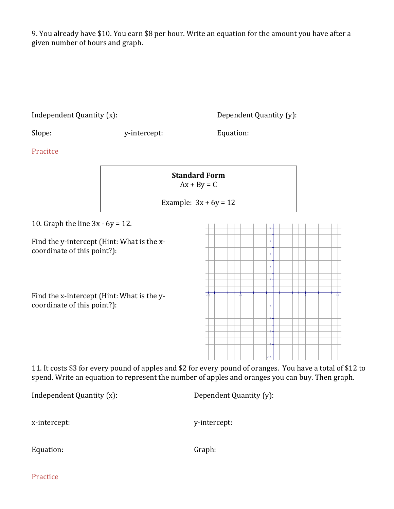9. You already have \$10. You earn \$8 per hour. Write an equation for the amount you have after a given number of hours and graph.

| Independent Quantity (x):                                                 |                                       | Dependent Quantity (y):                                                                              |  |
|---------------------------------------------------------------------------|---------------------------------------|------------------------------------------------------------------------------------------------------|--|
| Slope:                                                                    | y-intercept:                          | Equation:                                                                                            |  |
| Pracitce                                                                  |                                       |                                                                                                      |  |
|                                                                           | <b>Standard Form</b><br>$Ax + By = C$ |                                                                                                      |  |
|                                                                           | Example: $3x + 6y = 12$               |                                                                                                      |  |
| 10. Graph the line $3x - 6y = 12$ .                                       |                                       |                                                                                                      |  |
| Find the y-intercept (Hint: What is the x-<br>coordinate of this point?): |                                       |                                                                                                      |  |
| Find the x-intercept (Hint: What is the y-<br>coordinate of this point?): |                                       | $-10$                                                                                                |  |
|                                                                           |                                       | 11. It costs \$3 for every pound of apples and \$2 for every pound of oranges. You have a total of ! |  |

11. It costs \$3 for every pound of apples and \$2 for every pound of oranges. You have a total of \$12 to spend. Write an equation to represent the number of apples and oranges you can buy. Then graph.

| Independent Quantity (x): | Dependent Quantity (y): |  |
|---------------------------|-------------------------|--|
| x-intercept:              | y-intercept:            |  |
| Equation:                 | Graph:                  |  |

Practice